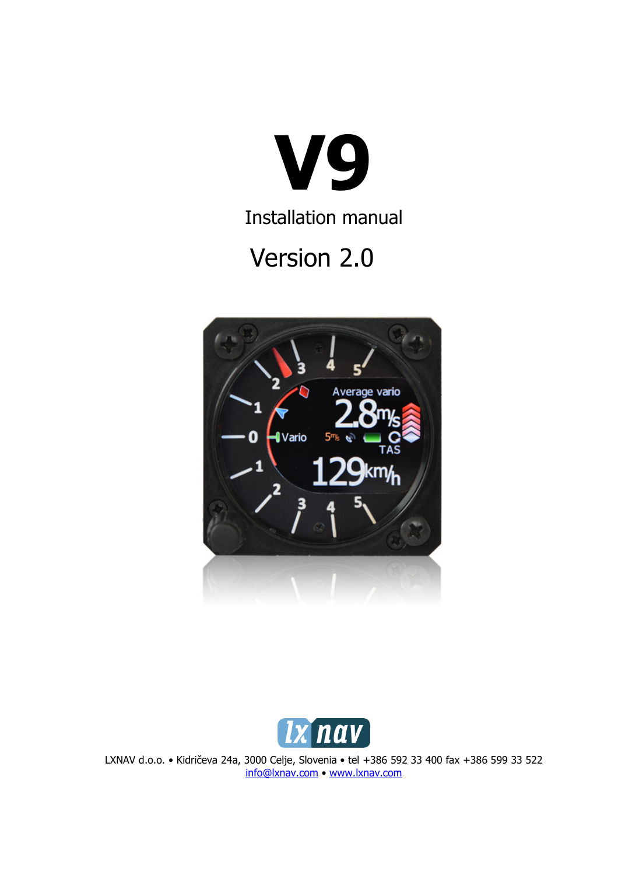

Installation manual

# Version 2.0





LXNAV d.o.o. • Kidričeva 24a, 3000 Celje, Slovenia • tel +386 592 33 400 fax +386 599 33 522 info@lxnav.com • www.lxnav.com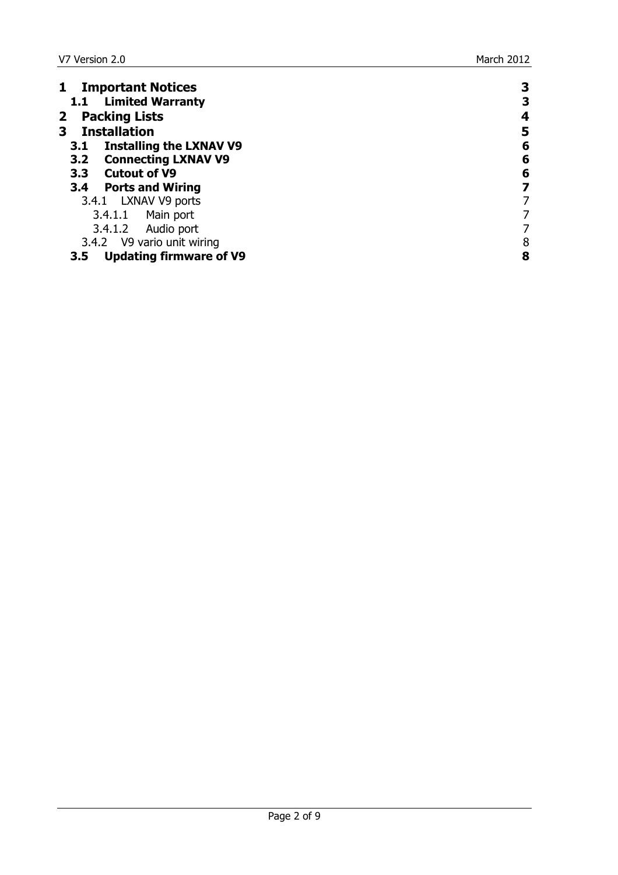| <b>Important Notices</b>              | 3 |
|---------------------------------------|---|
| 1.1 Limited Warranty                  | З |
| <b>Packing Lists</b><br>$\mathbf{2}$  | 4 |
| <b>Installation</b><br>3              | 5 |
| <b>Installing the LXNAV V9</b><br>3.1 | 6 |
| 3.2 Connecting LXNAV V9               | 6 |
| 3.3 Cutout of V9                      | 6 |
| 3.4 Ports and Wiring                  | 7 |
| 3.4.1 LXNAV V9 ports                  |   |
| 3.4.1.1 Main port                     |   |
| 3.4.1.2 Audio port                    |   |
| 3.4.2 V9 vario unit wiring            | 8 |
| <b>Updating firmware of V9</b><br>3.5 | 8 |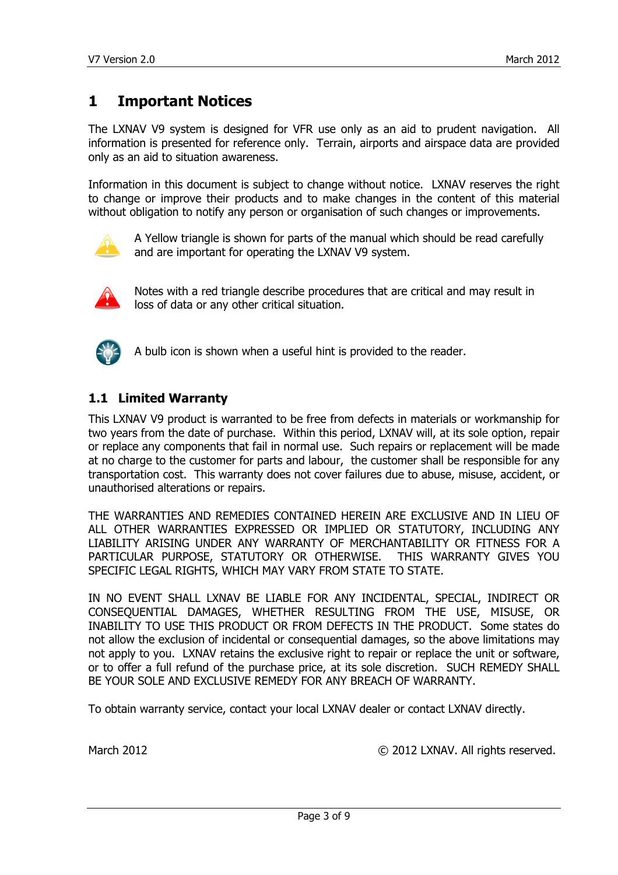## 1 Important Notices

The LXNAV V9 system is designed for VFR use only as an aid to prudent navigation. All information is presented for reference only. Terrain, airports and airspace data are provided only as an aid to situation awareness.

Information in this document is subject to change without notice. LXNAV reserves the right to change or improve their products and to make changes in the content of this material without obligation to notify any person or organisation of such changes or improvements.



A Yellow triangle is shown for parts of the manual which should be read carefully and are important for operating the LXNAV V9 system.



Notes with a red triangle describe procedures that are critical and may result in loss of data or any other critical situation.



A bulb icon is shown when a useful hint is provided to the reader.

## 1.1 Limited Warranty

This LXNAV V9 product is warranted to be free from defects in materials or workmanship for two years from the date of purchase. Within this period, LXNAV will, at its sole option, repair or replace any components that fail in normal use. Such repairs or replacement will be made at no charge to the customer for parts and labour, the customer shall be responsible for any transportation cost. This warranty does not cover failures due to abuse, misuse, accident, or unauthorised alterations or repairs.

THE WARRANTIES AND REMEDIES CONTAINED HEREIN ARE EXCLUSIVE AND IN LIEU OF ALL OTHER WARRANTIES EXPRESSED OR IMPLIED OR STATUTORY, INCLUDING ANY LIABILITY ARISING UNDER ANY WARRANTY OF MERCHANTABILITY OR FITNESS FOR A PARTICULAR PURPOSE, STATUTORY OR OTHERWISE. THIS WARRANTY GIVES YOU SPECIFIC LEGAL RIGHTS, WHICH MAY VARY FROM STATE TO STATE.

IN NO EVENT SHALL LXNAV BE LIABLE FOR ANY INCIDENTAL, SPECIAL, INDIRECT OR CONSEQUENTIAL DAMAGES, WHETHER RESULTING FROM THE USE, MISUSE, OR INABILITY TO USE THIS PRODUCT OR FROM DEFECTS IN THE PRODUCT. Some states do not allow the exclusion of incidental or consequential damages, so the above limitations may not apply to you. LXNAV retains the exclusive right to repair or replace the unit or software, or to offer a full refund of the purchase price, at its sole discretion. SUCH REMEDY SHALL BE YOUR SOLE AND EXCLUSIVE REMEDY FOR ANY BREACH OF WARRANTY.

To obtain warranty service, contact your local LXNAV dealer or contact LXNAV directly.

March 2012 © 2012 LXNAV. All rights reserved.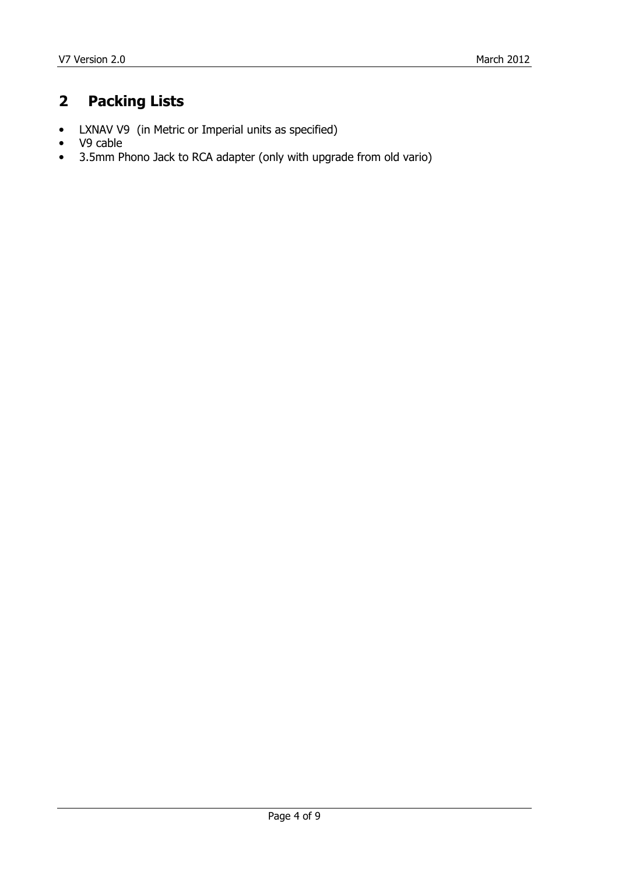# 2 Packing Lists

- LXNAV V9 (in Metric or Imperial units as specified)
- V9 cable
- 3.5mm Phono Jack to RCA adapter (only with upgrade from old vario)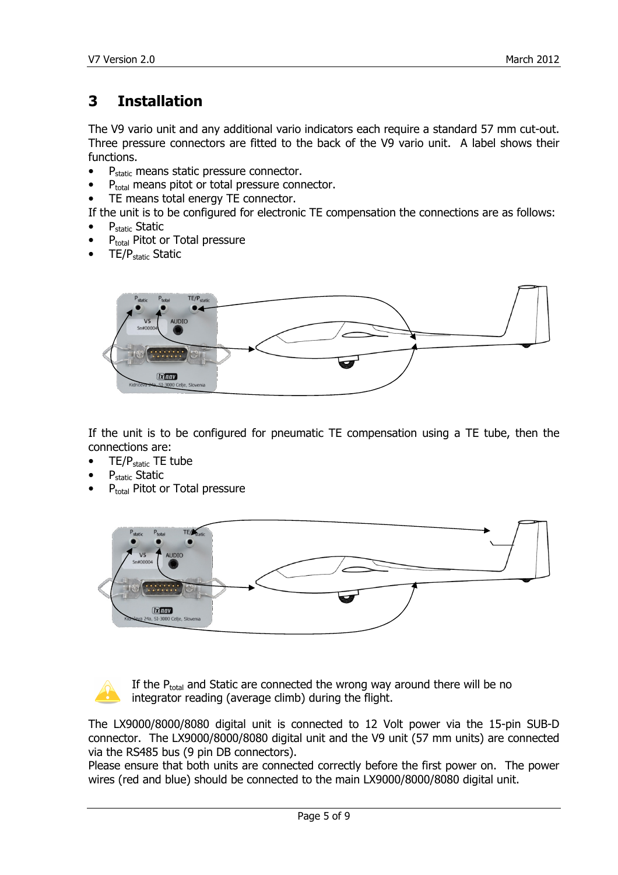# 3 Installation

The V9 vario unit and any additional vario indicators each require a standard 57 mm cut-out. Three pressure connectors are fitted to the back of the V9 vario unit. A label shows their functions.

- $\bullet$  P<sub>static</sub> means static pressure connector.
- $P_{total}$  means pitot or total pressure connector.
- TE means total energy TE connector.

If the unit is to be configured for electronic TE compensation the connections are as follows:

- P<sub>static</sub> Static
- P<sub>total</sub> Pitot or Total pressure
- TE/Pstatic Static



If the unit is to be configured for pneumatic TE compensation using a TE tube, then the connections are:

- TE/P<sub>static</sub> TE tube
- P<sub>static</sub> Static
- P<sub>total</sub> Pitot or Total pressure





If the  $P_{total}$  and Static are connected the wrong way around there will be no integrator reading (average climb) during the flight.

The LX9000/8000/8080 digital unit is connected to 12 Volt power via the 15-pin SUB-D connector. The LX9000/8000/8080 digital unit and the V9 unit (57 mm units) are connected via the RS485 bus (9 pin DB connectors).

Please ensure that both units are connected correctly before the first power on. The power wires (red and blue) should be connected to the main LX9000/8000/8080 digital unit.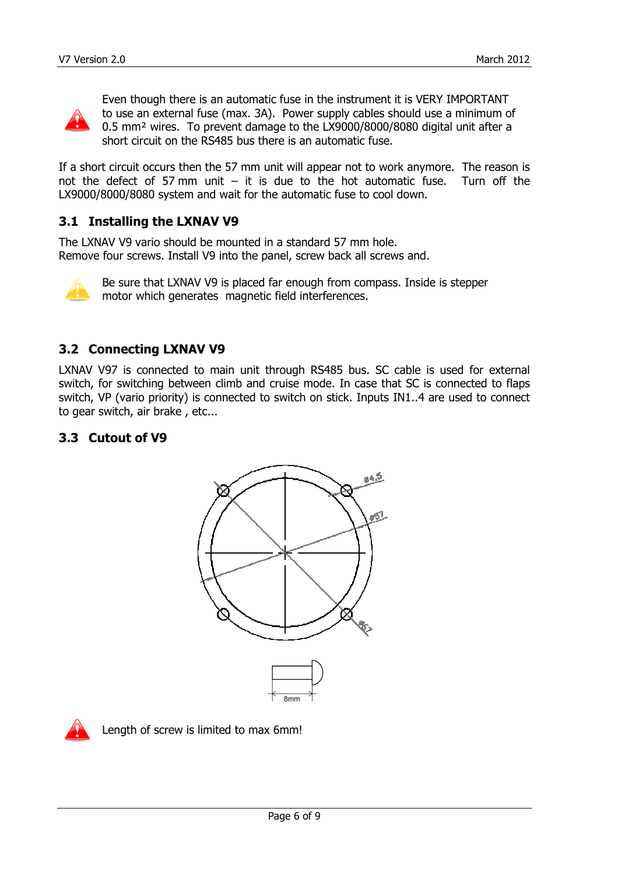

Even though there is an automatic fuse in the instrument it is VERY IMPORTANT to use an external fuse (max. 3A). Power supply cables should use a minimum of 0.5 mm² wires. To prevent damage to the LX9000/8000/8080 digital unit after a short circuit on the RS485 bus there is an automatic fuse.

If a short circuit occurs then the 57 mm unit will appear not to work anymore. The reason is not the defect of 57 mm unit  $-$  it is due to the hot automatic fuse. Turn off the LX9000/8000/8080 system and wait for the automatic fuse to cool down.

## 3.1 Installing the LXNAV V9

The LXNAV V9 vario should be mounted in a standard 57 mm hole. Remove four screws. Install V9 into the panel, screw back all screws and.



Be sure that LXNAV V9 is placed far enough from compass. Inside is stepper motor which generates magnetic field interferences.

## 3.2 Connecting LXNAV V9

LXNAV V97 is connected to main unit through RS485 bus. SC cable is used for external switch, for switching between climb and cruise mode. In case that SC is connected to flaps switch, VP (vario priority) is connected to switch on stick. Inputs IN1..4 are used to connect to gear switch, air brake , etc...

## 3.3 Cutout of V9





Length of screw is limited to max 6mm!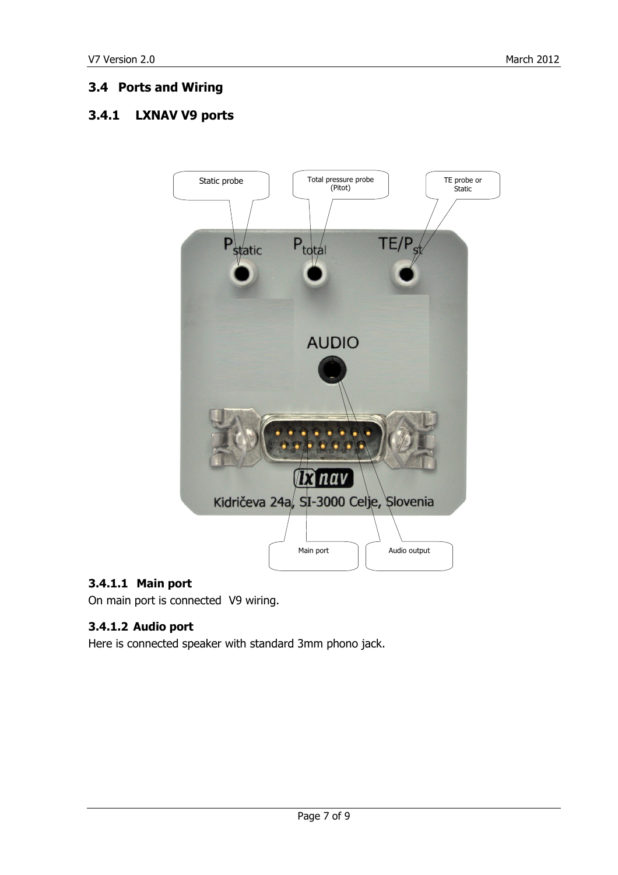## 3.4 Ports and Wiring

## 3.4.1 LXNAV V9 ports



## 3.4.1.1 Main port

On main port is connected V9 wiring.

## 3.4.1.2 Audio port

Here is connected speaker with standard 3mm phono jack.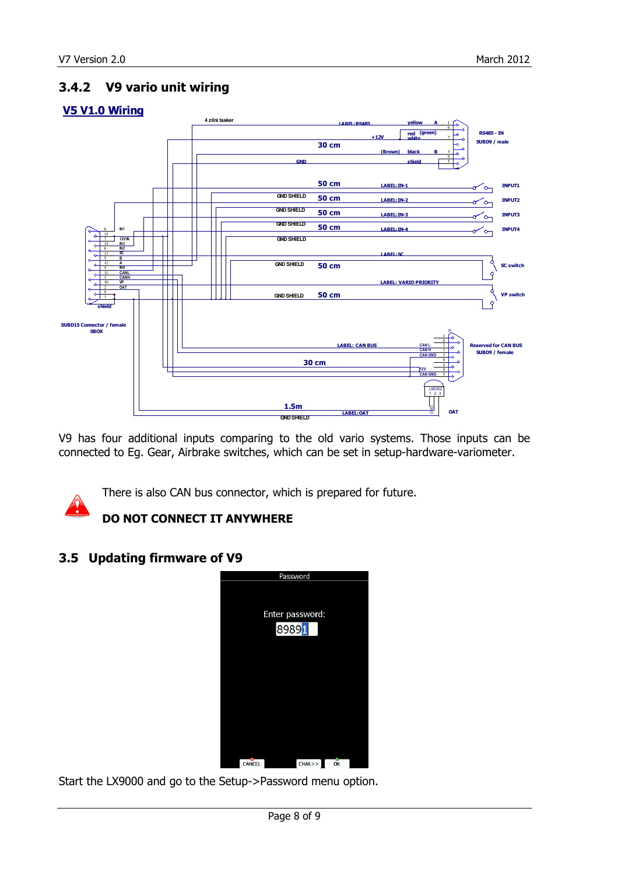## 3.4.2 V9 vario unit wiring

#### V5 V1.0 Wiring



V9 has four additional inputs comparing to the old vario systems. Those inputs can be connected to Eg. Gear, Airbrake switches, which can be set in setup-hardware-variometer.



There is also CAN bus connector, which is prepared for future.

## DO NOT CONNECT IT ANYWHERE

## 3.5 Updating firmware of V9



Start the LX9000 and go to the Setup->Password menu option.